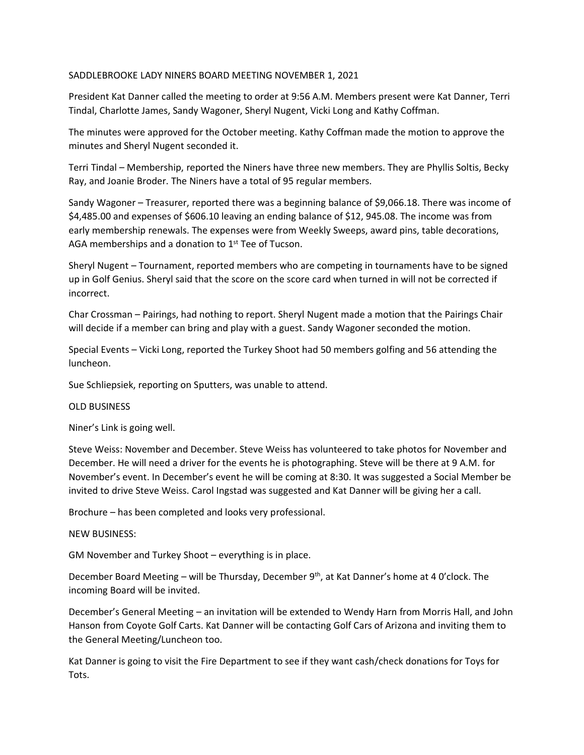## SADDLEBROOKE LADY NINERS BOARD MEETING NOVEMBER 1, 2021

President Kat Danner called the meeting to order at 9:56 A.M. Members present were Kat Danner, Terri Tindal, Charlotte James, Sandy Wagoner, Sheryl Nugent, Vicki Long and Kathy Coffman.

The minutes were approved for the October meeting. Kathy Coffman made the motion to approve the minutes and Sheryl Nugent seconded it.

Terri Tindal – Membership, reported the Niners have three new members. They are Phyllis Soltis, Becky Ray, and Joanie Broder. The Niners have a total of 95 regular members.

Sandy Wagoner – Treasurer, reported there was a beginning balance of \$9,066.18. There was income of \$4,485.00 and expenses of \$606.10 leaving an ending balance of \$12, 945.08. The income was from early membership renewals. The expenses were from Weekly Sweeps, award pins, table decorations, AGA memberships and a donation to 1<sup>st</sup> Tee of Tucson.

Sheryl Nugent – Tournament, reported members who are competing in tournaments have to be signed up in Golf Genius. Sheryl said that the score on the score card when turned in will not be corrected if incorrect.

Char Crossman – Pairings, had nothing to report. Sheryl Nugent made a motion that the Pairings Chair will decide if a member can bring and play with a guest. Sandy Wagoner seconded the motion.

Special Events – Vicki Long, reported the Turkey Shoot had 50 members golfing and 56 attending the luncheon.

Sue Schliepsiek, reporting on Sputters, was unable to attend.

## OLD BUSINESS

Niner's Link is going well.

Steve Weiss: November and December. Steve Weiss has volunteered to take photos for November and December. He will need a driver for the events he is photographing. Steve will be there at 9 A.M. for November's event. In December's event he will be coming at 8:30. It was suggested a Social Member be invited to drive Steve Weiss. Carol Ingstad was suggested and Kat Danner will be giving her a call.

Brochure – has been completed and looks very professional.

## NEW BUSINESS:

GM November and Turkey Shoot – everything is in place.

December Board Meeting – will be Thursday, December 9<sup>th</sup>, at Kat Danner's home at 4 0'clock. The incoming Board will be invited.

December's General Meeting – an invitation will be extended to Wendy Harn from Morris Hall, and John Hanson from Coyote Golf Carts. Kat Danner will be contacting Golf Cars of Arizona and inviting them to the General Meeting/Luncheon too.

Kat Danner is going to visit the Fire Department to see if they want cash/check donations for Toys for Tots.